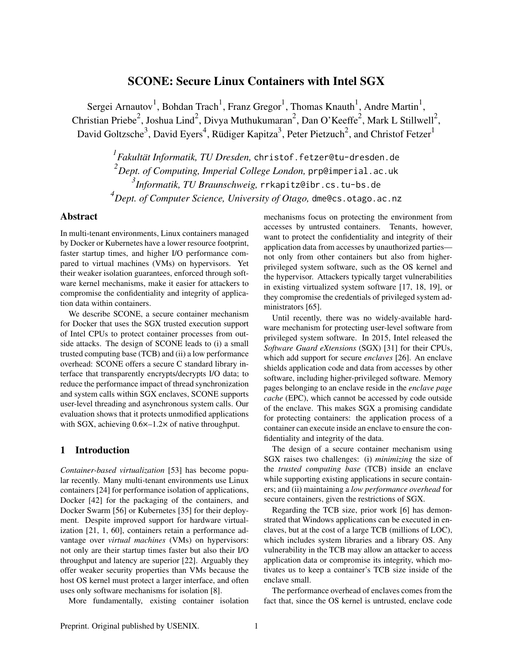# SCONE: Secure Linux Containers with Intel SGX

Sergei Arnautov<sup>1</sup>, Bohdan Trach<sup>1</sup>, Franz Gregor<sup>1</sup>, Thomas Knauth<sup>1</sup>, Andre Martin<sup>1</sup>, Christian Priebe<sup>2</sup>, Joshua Lind<sup>2</sup>, Divya Muthukumaran<sup>2</sup>, Dan O'Keeffe<sup>2</sup>, Mark L Stillwell<sup>2</sup>, David Goltzsche<sup>3</sup>, David Eyers<sup>4</sup>, Rüdiger Kapitza<sup>3</sup>, Peter Pietzuch<sup>2</sup>, and Christof Fetzer<sup>1</sup>

> *<sup>1</sup>Fakultät Informatik, TU Dresden,* <christof.fetzer@tu-dresden.de> *Dept. of Computing, Imperial College London,* <prp@imperial.ac.uk> *Informatik, TU Braunschweig,* <rrkapitz@ibr.cs.tu-bs.de> *Dept. of Computer Science, University of Otago,* <dme@cs.otago.ac.nz>

## Abstract

In multi-tenant environments, Linux containers managed by Docker or Kubernetes have a lower resource footprint, faster startup times, and higher I/O performance compared to virtual machines (VMs) on hypervisors. Yet their weaker isolation guarantees, enforced through software kernel mechanisms, make it easier for attackers to compromise the confidentiality and integrity of application data within containers.

We describe SCONE, a secure container mechanism for Docker that uses the SGX trusted execution support of Intel CPUs to protect container processes from outside attacks. The design of SCONE leads to (i) a small trusted computing base (TCB) and (ii) a low performance overhead: SCONE offers a secure C standard library interface that transparently encrypts/decrypts I/O data; to reduce the performance impact of thread synchronization and system calls within SGX enclaves, SCONE supports user-level threading and asynchronous system calls. Our evaluation shows that it protects unmodified applications with SGX, achieving  $0.6\times-1.2\times$  of native throughput.

## 1 Introduction

*Container-based virtualization* [\[53\]](#page-14-0) has become popular recently. Many multi-tenant environments use Linux containers [\[24\]](#page-14-1) for performance isolation of applications, Docker [\[42\]](#page-14-2) for the packaging of the containers, and Docker Swarm [\[56\]](#page-14-3) or Kubernetes [\[35\]](#page-14-4) for their deployment. Despite improved support for hardware virtualization [\[21,](#page-14-5) [1,](#page-13-0) [60\]](#page-14-6), containers retain a performance advantage over *virtual machines* (VMs) on hypervisors: not only are their startup times faster but also their I/O throughput and latency are superior [\[22\]](#page-14-7). Arguably they offer weaker security properties than VMs because the host OS kernel must protect a larger interface, and often uses only software mechanisms for isolation [\[8\]](#page-13-1).

More fundamentally, existing container isolation

mechanisms focus on protecting the environment from accesses by untrusted containers. Tenants, however, want to protect the confidentiality and integrity of their application data from accesses by unauthorized parties not only from other containers but also from higherprivileged system software, such as the OS kernel and the hypervisor. Attackers typically target vulnerabilities in existing virtualized system software [\[17,](#page-13-2) [18,](#page-14-8) [19\]](#page-14-9), or they compromise the credentials of privileged system ad-ministrators [\[65\]](#page-14-10).

Until recently, there was no widely-available hardware mechanism for protecting user-level software from privileged system software. In 2015, Intel released the *Software Guard eXtensions* (SGX) [\[31\]](#page-14-11) for their CPUs, which add support for secure *enclaves* [\[26\]](#page-14-12). An enclave shields application code and data from accesses by other software, including higher-privileged software. Memory pages belonging to an enclave reside in the *enclave page cache* (EPC), which cannot be accessed by code outside of the enclave. This makes SGX a promising candidate for protecting containers: the application process of a container can execute inside an enclave to ensure the confidentiality and integrity of the data.

The design of a secure container mechanism using SGX raises two challenges: (i) *minimizing* the size of the *trusted computing base* (TCB) inside an enclave while supporting existing applications in secure containers; and (ii) maintaining a *low performance overhead* for secure containers, given the restrictions of SGX.

Regarding the TCB size, prior work [\[6\]](#page-13-3) has demonstrated that Windows applications can be executed in enclaves, but at the cost of a large TCB (millions of LOC), which includes system libraries and a library OS. Any vulnerability in the TCB may allow an attacker to access application data or compromise its integrity, which motivates us to keep a container's TCB size inside of the enclave small.

The performance overhead of enclaves comes from the fact that, since the OS kernel is untrusted, enclave code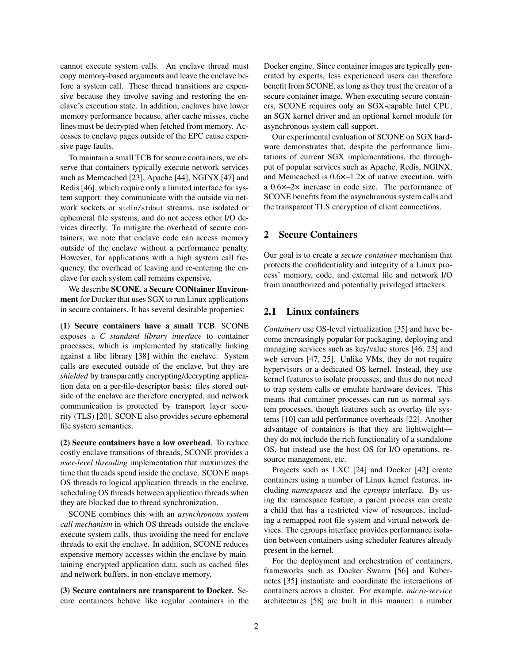cannot execute system calls. An enclave thread must copy memory-based arguments and leave the enclave before a system call. These thread transitions are expensive because they involve saving and restoring the enclave's execution state. In addition, enclaves have lower memory performance because, after cache misses, cache lines must be decrypted when fetched from memory. Accesses to enclave pages outside of the EPC cause expensive page faults.

To maintain a small TCB for secure containers, we observe that containers typically execute network services such as Memcached [\[23\]](#page-14-13), Apache [\[44\]](#page-14-14), NGINX [\[47\]](#page-14-15) and Redis [\[46\]](#page-14-16), which require only a limited interface for system support: they communicate with the outside via network sockets or stdin/stdout streams, use isolated or ephemeral file systems, and do not access other I/O devices directly. To mitigate the overhead of secure containers, we note that enclave code can access memory outside of the enclave without a performance penalty. However, for applications with a high system call frequency, the overhead of leaving and re-entering the enclave for each system call remains expensive.

We describe SCONE, a Secure CONtainer Environment for Docker that uses SGX to run Linux applications in secure containers. It has several desirable properties:

(1) Secure containers have a small TCB. SCONE exposes a *C standard library interface* to container processes, which is implemented by statically linking against a libc library [\[38\]](#page-14-17) within the enclave. System calls are executed outside of the enclave, but they are *shielded* by transparently encrypting/decrypting application data on a per-file-descriptor basis: files stored outside of the enclave are therefore encrypted, and network communication is protected by transport layer security (TLS) [\[20\]](#page-14-18). SCONE also provides secure ephemeral file system semantics.

(2) Secure containers have a low overhead. To reduce costly enclave transitions of threads, SCONE provides a *user-level threading* implementation that maximizes the time that threads spend inside the enclave. SCONE maps OS threads to logical application threads in the enclave, scheduling OS threads between application threads when they are blocked due to thread synchronization.

SCONE combines this with an *asynchronous system call mechanism* in which OS threads outside the enclave execute system calls, thus avoiding the need for enclave threads to exit the enclave. In addition, SCONE reduces expensive memory accesses within the enclave by maintaining encrypted application data, such as cached files and network buffers, in non-enclave memory.

(3) Secure containers are transparent to Docker. Secure containers behave like regular containers in the Docker engine. Since container images are typically generated by experts, less experienced users can therefore benefit from SCONE, as long as they trust the creator of a secure container image. When executing secure containers, SCONE requires only an SGX-capable Intel CPU, an SGX kernel driver and an optional kernel module for asynchronous system call support.

Our experimental evaluation of SCONE on SGX hardware demonstrates that, despite the performance limitations of current SGX implementations, the throughput of popular services such as Apache, Redis, NGINX, and Memcached is  $0.6\times-1.2\times$  of native execution, with a 0.6×–2× increase in code size. The performance of SCONE benefits from the asynchronous system calls and the transparent TLS encryption of client connections.

## 2 Secure Containers

Our goal is to create a *secure container* mechanism that protects the confidentiality and integrity of a Linux process' memory, code, and external file and network I/O from unauthorized and potentially privileged attackers.

## 2.1 Linux containers

*Containers* use OS-level virtualization [\[35\]](#page-14-4) and have become increasingly popular for packaging, deploying and managing services such as key/value stores [\[46,](#page-14-16) [23\]](#page-14-13) and web servers [\[47,](#page-14-15) [25\]](#page-14-19). Unlike VMs, they do not require hypervisors or a dedicated OS kernel. Instead, they use kernel features to isolate processes, and thus do not need to trap system calls or emulate hardware devices. This means that container processes can run as normal system processes, though features such as overlay file systems [\[10\]](#page-13-4) can add performance overheads [\[22\]](#page-14-7). Another advantage of containers is that they are lightweight they do not include the rich functionality of a standalone OS, but instead use the host OS for I/O operations, resource management, etc.

Projects such as LXC [\[24\]](#page-14-1) and Docker [\[42\]](#page-14-2) create containers using a number of Linux kernel features, including *namespaces* and the *cgroups* interface. By using the namespace feature, a parent process can create a child that has a restricted view of resources, including a remapped root file system and virtual network devices. The cgroups interface provides performance isolation between containers using scheduler features already present in the kernel.

For the deployment and orchestration of containers, frameworks such as Docker Swarm [\[56\]](#page-14-3) and Kubernetes [\[35\]](#page-14-4) instantiate and coordinate the interactions of containers across a cluster. For example, *micro-service* architectures [\[58\]](#page-14-20) are built in this manner: a number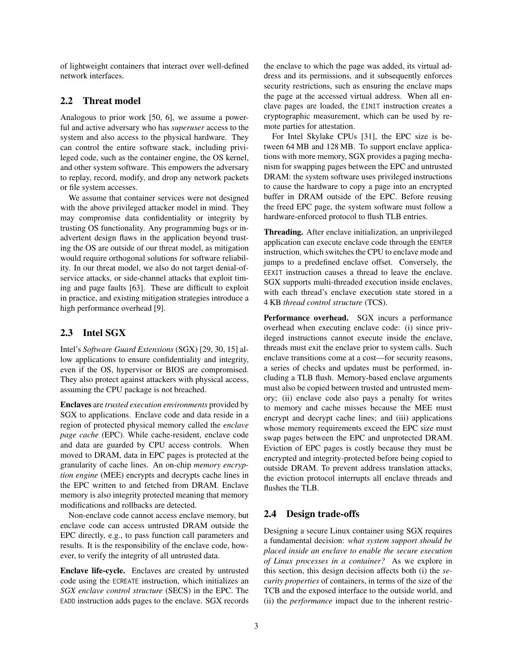of lightweight containers that interact over well-defined network interfaces.

### <span id="page-2-1"></span>2.2 Threat model

Analogous to prior work [\[50,](#page-14-21) [6\]](#page-13-3), we assume a powerful and active adversary who has *superuser* access to the system and also access to the physical hardware. They can control the entire software stack, including privileged code, such as the container engine, the OS kernel, and other system software. This empowers the adversary to replay, record, modify, and drop any network packets or file system accesses.

We assume that container services were not designed with the above privileged attacker model in mind. They may compromise data confidentiality or integrity by trusting OS functionality. Any programming bugs or inadvertent design flaws in the application beyond trusting the OS are outside of our threat model, as mitigation would require orthogonal solutions for software reliability. In our threat model, we also do not target denial-ofservice attacks, or side-channel attacks that exploit timing and page faults [\[63\]](#page-14-22). These are difficult to exploit in practice, and existing mitigation strategies introduce a high performance overhead [\[9\]](#page-13-5).

## <span id="page-2-0"></span>2.3 Intel SGX

Intel's *Software Guard Extensions* (SGX) [\[29,](#page-14-23) [30,](#page-14-24) [15\]](#page-13-6) allow applications to ensure confidentiality and integrity, even if the OS, hypervisor or BIOS are compromised. They also protect against attackers with physical access, assuming the CPU package is not breached.

Enclaves are *trusted execution environments* provided by SGX to applications. Enclave code and data reside in a region of protected physical memory called the *enclave page cache* (EPC). While cache-resident, enclave code and data are guarded by CPU access controls. When moved to DRAM, data in EPC pages is protected at the granularity of cache lines. An on-chip *memory encryption engine* (MEE) encrypts and decrypts cache lines in the EPC written to and fetched from DRAM. Enclave memory is also integrity protected meaning that memory modifications and rollbacks are detected.

Non-enclave code cannot access enclave memory, but enclave code can access untrusted DRAM outside the EPC directly, e.g., to pass function call parameters and results. It is the responsibility of the enclave code, however, to verify the integrity of all untrusted data.

Enclave life-cycle. Enclaves are created by untrusted code using the ECREATE instruction, which initializes an *SGX enclave control structure* (SECS) in the EPC. The EADD instruction adds pages to the enclave. SGX records the enclave to which the page was added, its virtual address and its permissions, and it subsequently enforces security restrictions, such as ensuring the enclave maps the page at the accessed virtual address. When all enclave pages are loaded, the EINIT instruction creates a cryptographic measurement, which can be used by remote parties for attestation.

For Intel Skylake CPUs [\[31\]](#page-14-11), the EPC size is between 64 MB and 128 MB. To support enclave applications with more memory, SGX provides a paging mechanism for swapping pages between the EPC and untrusted DRAM: the system software uses privileged instructions to cause the hardware to copy a page into an encrypted buffer in DRAM outside of the EPC. Before reusing the freed EPC page, the system software must follow a hardware-enforced protocol to flush TLB entries.

Threading. After enclave initialization, an unprivileged application can execute enclave code through the EENTER instruction, which switches the CPU to enclave mode and jumps to a predefined enclave offset. Conversely, the EEXIT instruction causes a thread to leave the enclave. SGX supports multi-threaded execution inside enclaves, with each thread's enclave execution state stored in a 4 KB *thread control structure* (TCS).

Performance overhead. SGX incurs a performance overhead when executing enclave code: (i) since privileged instructions cannot execute inside the enclave, threads must exit the enclave prior to system calls. Such enclave transitions come at a cost—for security reasons, a series of checks and updates must be performed, including a TLB flush. Memory-based enclave arguments must also be copied between trusted and untrusted memory; (ii) enclave code also pays a penalty for writes to memory and cache misses because the MEE must encrypt and decrypt cache lines; and (iii) applications whose memory requirements exceed the EPC size must swap pages between the EPC and unprotected DRAM. Eviction of EPC pages is costly because they must be encrypted and integrity-protected before being copied to outside DRAM. To prevent address translation attacks, the eviction protocol interrupts all enclave threads and flushes the TLB.

## <span id="page-2-2"></span>2.4 Design trade-offs

Designing a secure Linux container using SGX requires a fundamental decision: *what system support should be placed inside an enclave to enable the secure execution of Linux processes in a container?* As we explore in this section, this design decision affects both (i) the *security properties* of containers, in terms of the size of the TCB and the exposed interface to the outside world, and (ii) the *performance* impact due to the inherent restric-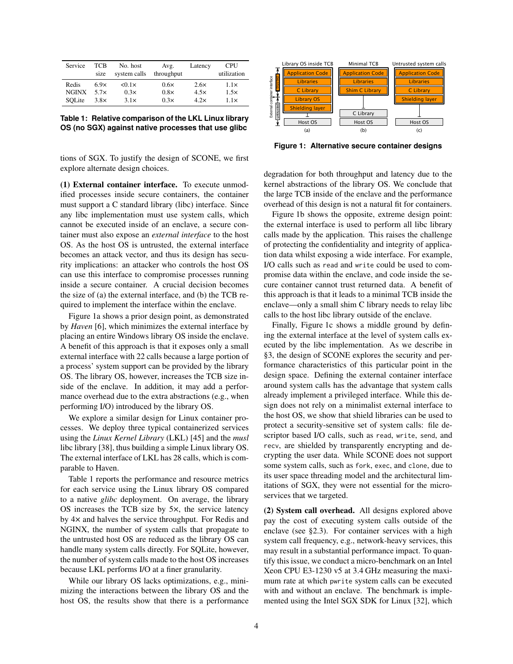<span id="page-3-1"></span>

| Service      | <b>TCB</b><br>size | No. host<br>system calls | Avg.<br>throughput | Latency     | <b>CPU</b><br>utilization |
|--------------|--------------------|--------------------------|--------------------|-------------|---------------------------|
| Redis        | 6.9x               | $< 0.1 \times$           | $0.6\times$        | $2.6\times$ | 1.1x                      |
| <b>NGINX</b> | $5.7\times$        | 0.3x                     | $0.8\times$        | $4.5\times$ | 1.5x                      |
| SOLite       | $3.8\times$        | $3.1\times$              | 0.3x               | 4.2x        | $1.1\times$               |

**Table 1: Relative comparison of the LKL Linux library OS (no SGX) against native processes that use glibc**

tions of SGX. To justify the design of SCONE, we first explore alternate design choices.

(1) External container interface. To execute unmodified processes inside secure containers, the container must support a C standard library (libc) interface. Since any libc implementation must use system calls, which cannot be executed inside of an enclave, a secure container must also expose an *external interface* to the host OS. As the host OS is untrusted, the external interface becomes an attack vector, and thus its design has security implications: an attacker who controls the host OS can use this interface to compromise processes running inside a secure container. A crucial decision becomes the size of (a) the external interface, and (b) the TCB required to implement the interface within the enclave.

Figure [1a](#page-3-0) shows a prior design point, as demonstrated by *Haven* [\[6\]](#page-13-3), which minimizes the external interface by placing an entire Windows library OS inside the enclave. A benefit of this approach is that it exposes only a small external interface with 22 calls because a large portion of a process' system support can be provided by the library OS. The library OS, however, increases the TCB size inside of the enclave. In addition, it may add a performance overhead due to the extra abstractions (e.g., when performing I/O) introduced by the library OS.

We explore a similar design for Linux container processes. We deploy three typical containerized services using the *Linux Kernel Library* (LKL) [\[45\]](#page-14-25) and the *musl* libc library [\[38\]](#page-14-17), thus building a simple Linux library OS. The external interface of LKL has 28 calls, which is comparable to Haven.

Table [1](#page-3-1) reports the performance and resource metrics for each service using the Linux library OS compared to a native *glibc* deployment. On average, the library OS increases the TCB size by 5×, the service latency by 4× and halves the service throughput. For Redis and NGINX, the number of system calls that propagate to the untrusted host OS are reduced as the library OS can handle many system calls directly. For SQLite, however, the number of system calls made to the host OS increases because LKL performs I/O at a finer granularity.

While our library OS lacks optimizations, e.g., minimizing the interactions between the library OS and the host OS, the results show that there is a performance

<span id="page-3-0"></span>

**Figure 1: Alternative secure container designs**

degradation for both throughput and latency due to the kernel abstractions of the library OS. We conclude that the large TCB inside of the enclave and the performance overhead of this design is not a natural fit for containers.

Figure [1b](#page-3-0) shows the opposite, extreme design point: the external interface is used to perform all libc library calls made by the application. This raises the challenge of protecting the confidentiality and integrity of application data whilst exposing a wide interface. For example, I/O calls such as read and write could be used to compromise data within the enclave, and code inside the secure container cannot trust returned data. A benefit of this approach is that it leads to a minimal TCB inside the enclave—only a small shim C library needs to relay libc calls to the host libc library outside of the enclave.

Finally, Figure [1c](#page-3-0) shows a middle ground by defining the external interface at the level of system calls executed by the libc implementation. As we describe in [§3,](#page-4-0) the design of SCONE explores the security and performance characteristics of this particular point in the design space. Defining the external container interface around system calls has the advantage that system calls already implement a privileged interface. While this design does not rely on a minimalist external interface to the host OS, we show that shield libraries can be used to protect a security-sensitive set of system calls: file descriptor based I/O calls, such as read, write, send, and recv, are shielded by transparently encrypting and decrypting the user data. While SCONE does not support some system calls, such as fork, exec, and clone, due to its user space threading model and the architectural limitations of SGX, they were not essential for the microservices that we targeted.

(2) System call overhead. All designs explored above pay the cost of executing system calls outside of the enclave (see [§2.3\)](#page-2-0). For container services with a high system call frequency, e.g., network-heavy services, this may result in a substantial performance impact. To quantify this issue, we conduct a micro-benchmark on an Intel Xeon CPU E3-1230 v5 at 3.4 GHz measuring the maximum rate at which pwrite system calls can be executed with and without an enclave. The benchmark is implemented using the Intel SGX SDK for Linux [\[32\]](#page-14-26), which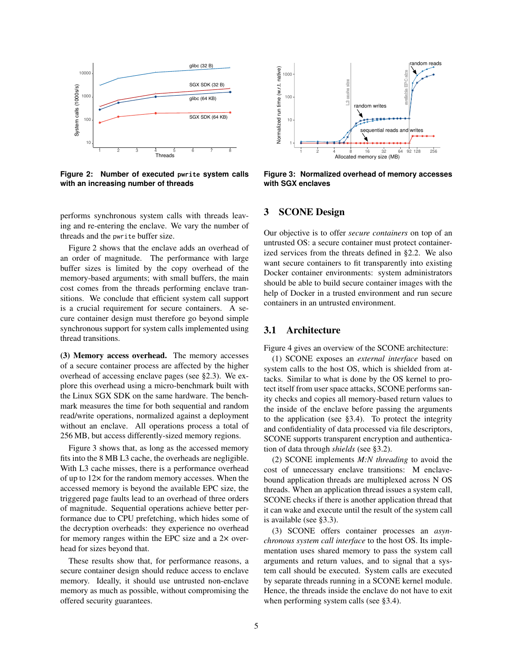<span id="page-4-1"></span>

**Figure 2: Number of executed** pwrite **system calls with an increasing number of threads**

performs synchronous system calls with threads leaving and re-entering the enclave. We vary the number of threads and the pwrite buffer size.

Figure [2](#page-4-1) shows that the enclave adds an overhead of an order of magnitude. The performance with large buffer sizes is limited by the copy overhead of the memory-based arguments; with small buffers, the main cost comes from the threads performing enclave transitions. We conclude that efficient system call support is a crucial requirement for secure containers. A secure container design must therefore go beyond simple synchronous support for system calls implemented using thread transitions.

(3) Memory access overhead. The memory accesses of a secure container process are affected by the higher overhead of accessing enclave pages (see [§2.3\)](#page-2-0). We explore this overhead using a micro-benchmark built with the Linux SGX SDK on the same hardware. The benchmark measures the time for both sequential and random read/write operations, normalized against a deployment without an enclave. All operations process a total of 256 MB, but access differently-sized memory regions.

Figure [3](#page-4-2) shows that, as long as the accessed memory fits into the 8 MB L3 cache, the overheads are negligible. With L3 cache misses, there is a performance overhead of up to 12× for the random memory accesses. When the accessed memory is beyond the available EPC size, the triggered page faults lead to an overhead of three orders of magnitude. Sequential operations achieve better performance due to CPU prefetching, which hides some of the decryption overheads: they experience no overhead for memory ranges within the EPC size and a 2× overhead for sizes beyond that.

These results show that, for performance reasons, a secure container design should reduce access to enclave memory. Ideally, it should use untrusted non-enclave memory as much as possible, without compromising the offered security guarantees.

<span id="page-4-2"></span>

**Figure 3: Normalized overhead of memory accesses with SGX enclaves**

## <span id="page-4-0"></span>3 SCONE Design

Our objective is to offer *secure containers* on top of an untrusted OS: a secure container must protect containerized services from the threats defined in [§2.2.](#page-2-1) We also want secure containers to fit transparently into existing Docker container environments: system administrators should be able to build secure container images with the help of Docker in a trusted environment and run secure containers in an untrusted environment.

## 3.1 Architecture

Figure [4](#page-5-0) gives an overview of the SCONE architecture:

(1) SCONE exposes an *external interface* based on system calls to the host OS, which is shielded from attacks. Similar to what is done by the OS kernel to protect itself from user space attacks, SCONE performs sanity checks and copies all memory-based return values to the inside of the enclave before passing the arguments to the application (see [§3.4\)](#page-6-0). To protect the integrity and confidentiality of data processed via file descriptors, SCONE supports transparent encryption and authentication of data through *shields* (see [§3.2\)](#page-5-1).

(2) SCONE implements *M:N threading* to avoid the cost of unnecessary enclave transitions: M enclavebound application threads are multiplexed across N OS threads. When an application thread issues a system call, SCONE checks if there is another application thread that it can wake and execute until the result of the system call is available (see [§3.3\)](#page-6-1).

(3) SCONE offers container processes an *asynchronous system call interface* to the host OS. Its implementation uses shared memory to pass the system call arguments and return values, and to signal that a system call should be executed. System calls are executed by separate threads running in a SCONE kernel module. Hence, the threads inside the enclave do not have to exit when performing system calls (see [§3.4\)](#page-6-0).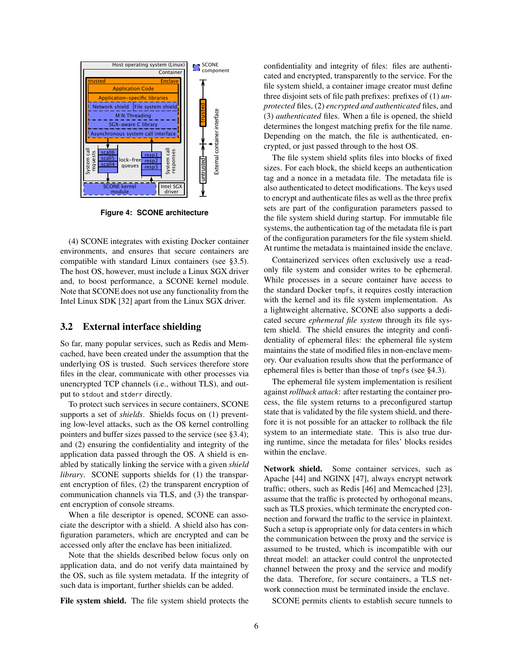<span id="page-5-0"></span>

**Figure 4: SCONE architecture**

(4) SCONE integrates with existing Docker container environments, and ensures that secure containers are compatible with standard Linux containers (see [§3.5\)](#page-7-0). The host OS, however, must include a Linux SGX driver and, to boost performance, a SCONE kernel module. Note that SCONE does not use any functionality from the Intel Linux SDK [\[32\]](#page-14-26) apart from the Linux SGX driver.

## <span id="page-5-1"></span>3.2 External interface shielding

So far, many popular services, such as Redis and Memcached, have been created under the assumption that the underlying OS is trusted. Such services therefore store files in the clear, communicate with other processes via unencrypted TCP channels (i.e., without TLS), and output to stdout and stderr directly.

To protect such services in secure containers, SCONE supports a set of *shields*. Shields focus on (1) preventing low-level attacks, such as the OS kernel controlling pointers and buffer sizes passed to the service (see [§3.4\)](#page-6-0); and (2) ensuring the confidentiality and integrity of the application data passed through the OS. A shield is enabled by statically linking the service with a given *shield library*. SCONE supports shields for (1) the transparent encryption of files, (2) the transparent encryption of communication channels via TLS, and (3) the transparent encryption of console streams.

When a file descriptor is opened, SCONE can associate the descriptor with a shield. A shield also has configuration parameters, which are encrypted and can be accessed only after the enclave has been initialized.

Note that the shields described below focus only on application data, and do not verify data maintained by the OS, such as file system metadata. If the integrity of such data is important, further shields can be added.

File system shield. The file system shield protects the

confidentiality and integrity of files: files are authenticated and encrypted, transparently to the service. For the file system shield, a container image creator must define three disjoint sets of file path prefixes: prefixes of (1) *unprotected* files, (2) *encrypted and authenticated* files, and (3) *authenticated* files. When a file is opened, the shield determines the longest matching prefix for the file name. Depending on the match, the file is authenticated, encrypted, or just passed through to the host OS.

The file system shield splits files into blocks of fixed sizes. For each block, the shield keeps an authentication tag and a nonce in a metadata file. The metadata file is also authenticated to detect modifications. The keys used to encrypt and authenticate files as well as the three prefix sets are part of the configuration parameters passed to the file system shield during startup. For immutable file systems, the authentication tag of the metadata file is part of the configuration parameters for the file system shield. At runtime the metadata is maintained inside the enclave.

Containerized services often exclusively use a readonly file system and consider writes to be ephemeral. While processes in a secure container have access to the standard Docker tmpfs, it requires costly interaction with the kernel and its file system implementation. As a lightweight alternative, SCONE also supports a dedicated secure *ephemeral file system* through its file system shield. The shield ensures the integrity and confidentiality of ephemeral files: the ephemeral file system maintains the state of modified files in non-enclave memory. Our evaluation results show that the performance of ephemeral files is better than those of tmpfs (see [§4.3\)](#page-11-0).

The ephemeral file system implementation is resilient against *rollback attack*: after restarting the container process, the file system returns to a preconfigured startup state that is validated by the file system shield, and therefore it is not possible for an attacker to rollback the file system to an intermediate state. This is also true during runtime, since the metadata for files' blocks resides within the enclave.

Network shield. Some container services, such as Apache [\[44\]](#page-14-14) and NGINX [\[47\]](#page-14-15), always encrypt network traffic; others, such as Redis [\[46\]](#page-14-16) and Memcached [\[23\]](#page-14-13), assume that the traffic is protected by orthogonal means, such as TLS proxies, which terminate the encrypted connection and forward the traffic to the service in plaintext. Such a setup is appropriate only for data centers in which the communication between the proxy and the service is assumed to be trusted, which is incompatible with our threat model: an attacker could control the unprotected channel between the proxy and the service and modify the data. Therefore, for secure containers, a TLS network connection must be terminated inside the enclave.

SCONE permits clients to establish secure tunnels to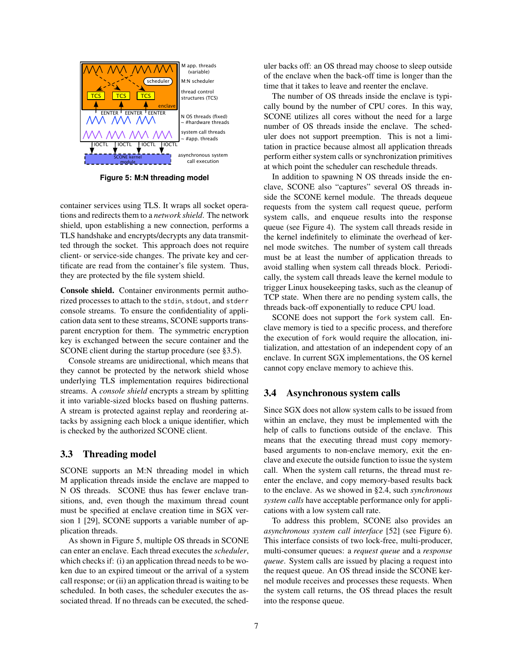<span id="page-6-2"></span>

**Figure 5: M:N threading model**

container services using TLS. It wraps all socket operations and redirects them to a *network shield*. The network shield, upon establishing a new connection, performs a TLS handshake and encrypts/decrypts any data transmitted through the socket. This approach does not require client- or service-side changes. The private key and certificate are read from the container's file system. Thus, they are protected by the file system shield.

Console shield. Container environments permit authorized processes to attach to the stdin, stdout, and stderr console streams. To ensure the confidentiality of application data sent to these streams, SCONE supports transparent encryption for them. The symmetric encryption key is exchanged between the secure container and the SCONE client during the startup procedure (see [§3.5\)](#page-7-0).

Console streams are unidirectional, which means that they cannot be protected by the network shield whose underlying TLS implementation requires bidirectional streams. A *console shield* encrypts a stream by splitting it into variable-sized blocks based on flushing patterns. A stream is protected against replay and reordering attacks by assigning each block a unique identifier, which is checked by the authorized SCONE client.

## <span id="page-6-1"></span>3.3 Threading model

SCONE supports an M:N threading model in which M application threads inside the enclave are mapped to N OS threads. SCONE thus has fewer enclave transitions, and, even though the maximum thread count must be specified at enclave creation time in SGX version 1 [\[29\]](#page-14-23), SCONE supports a variable number of application threads.

As shown in Figure [5,](#page-6-2) multiple OS threads in SCONE can enter an enclave. Each thread executes the *scheduler*, which checks if: (i) an application thread needs to be woken due to an expired timeout or the arrival of a system call response; or (ii) an application thread is waiting to be scheduled. In both cases, the scheduler executes the associated thread. If no threads can be executed, the scheduler backs off: an OS thread may choose to sleep outside of the enclave when the back-off time is longer than the time that it takes to leave and reenter the enclave.

The number of OS threads inside the enclave is typically bound by the number of CPU cores. In this way, SCONE utilizes all cores without the need for a large number of OS threads inside the enclave. The scheduler does not support preemption. This is not a limitation in practice because almost all application threads perform either system calls or synchronization primitives at which point the scheduler can reschedule threads.

In addition to spawning N OS threads inside the enclave, SCONE also "captures" several OS threads inside the SCONE kernel module. The threads dequeue requests from the system call request queue, perform system calls, and enqueue results into the response queue (see Figure [4\)](#page-5-0). The system call threads reside in the kernel indefinitely to eliminate the overhead of kernel mode switches. The number of system call threads must be at least the number of application threads to avoid stalling when system call threads block. Periodically, the system call threads leave the kernel module to trigger Linux housekeeping tasks, such as the cleanup of TCP state. When there are no pending system calls, the threads back-off exponentially to reduce CPU load.

SCONE does not support the fork system call. Enclave memory is tied to a specific process, and therefore the execution of fork would require the allocation, initialization, and attestation of an independent copy of an enclave. In current SGX implementations, the OS kernel cannot copy enclave memory to achieve this.

### <span id="page-6-0"></span>3.4 Asynchronous system calls

Since SGX does not allow system calls to be issued from within an enclave, they must be implemented with the help of calls to functions outside of the enclave. This means that the executing thread must copy memorybased arguments to non-enclave memory, exit the enclave and execute the outside function to issue the system call. When the system call returns, the thread must reenter the enclave, and copy memory-based results back to the enclave. As we showed in [§2.4,](#page-2-2) such *synchronous system calls* have acceptable performance only for applications with a low system call rate.

To address this problem, SCONE also provides an *asynchronous system call interface* [\[52\]](#page-14-27) (see Figure [6\)](#page-7-1). This interface consists of two lock-free, multi-producer, multi-consumer queues: a *request queue* and a *response queue*. System calls are issued by placing a request into the request queue. An OS thread inside the SCONE kernel module receives and processes these requests. When the system call returns, the OS thread places the result into the response queue.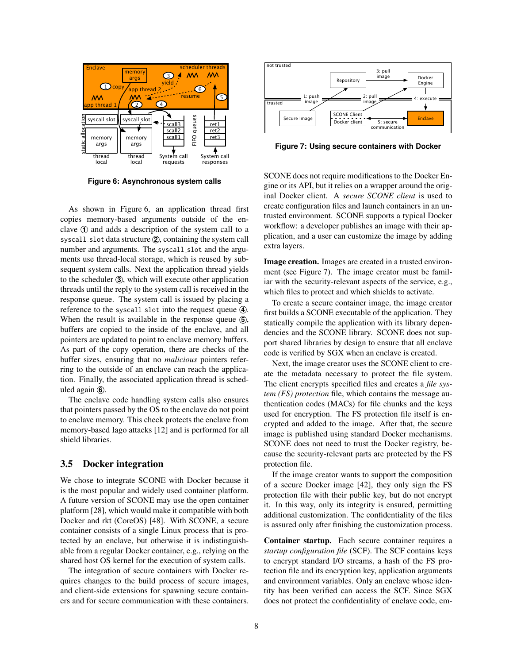<span id="page-7-1"></span>

**Figure 6: Asynchronous system calls**

As shown in Figure [6,](#page-7-1) an application thread first copies memory-based arguments outside of the enclave  $\odot$  and adds a description of the system call to a syscall slot data structure  $(2)$ , containing the system call number and arguments. The syscall slot and the arguments use thread-local storage, which is reused by subsequent system calls. Next the application thread yields to the scheduler **3** , which will execute other application threads until the reply to the system call is received in the response queue. The system call is issued by placing a reference to the syscall slot into the request queue **4** . When the result is available in the response queue **5**, buffers are copied to the inside of the enclave, and all pointers are updated to point to enclave memory buffers. As part of the copy operation, there are checks of the buffer sizes, ensuring that no *malicious* pointers referring to the outside of an enclave can reach the application. Finally, the associated application thread is scheduled again **6** . **Excel is an interest in the controller of the controller of the containers are an interest and the containers. The method is a system container of the containers are transfer and the system of the secure containers. The** 

The enclave code handling system calls also ensures that pointers passed by the OS to the enclave do not point to enclave memory. This check protects the enclave from memory-based Iago attacks [\[12\]](#page-13-7) and is performed for all shield libraries.

#### <span id="page-7-0"></span>3.5 Docker integration

We chose to integrate SCONE with Docker because it is the most popular and widely used container platform. A future version of SCONE may use the open container platform [\[28\]](#page-14-28), which would make it compatible with both Docker and rkt (CoreOS) [\[48\]](#page-14-29). With SCONE, a secure container consists of a single Linux process that is protected by an enclave, but otherwise it is indistinguishable from a regular Docker container, e.g., relying on the shared host OS kernel for the execution of system calls.

The integration of secure containers with Docker requires changes to the build process of secure images, and client-side extensions for spawning secure contain-

<span id="page-7-2"></span>

**Figure 7: Using secure containers with Docker**

SCONE does not require modifications to the Docker Engine or its API, but it relies on a wrapper around the original Docker client. A *secure SCONE client* is used to create configuration files and launch containers in an untrusted environment. SCONE supports a typical Docker workflow: a developer publishes an image with their application, and a user can customize the image by adding extra layers.

Image creation. Images are created in a trusted environment (see Figure [7\)](#page-7-2). The image creator must be familiar with the security-relevant aspects of the service, e.g., which files to protect and which shields to activate.

To create a secure container image, the image creator first builds a SCONE executable of the application. They statically compile the application with its library dependencies and the SCONE library. SCONE does not support shared libraries by design to ensure that all enclave code is verified by SGX when an enclave is created.

Next, the image creator uses the SCONE client to create the metadata necessary to protect the file system. The client encrypts specified files and creates a *file system (FS) protection* file, which contains the message authentication codes (MACs) for file chunks and the keys used for encryption. The FS protection file itself is encrypted and added to the image. After that, the secure image is published using standard Docker mechanisms. SCONE does not need to trust the Docker registry, because the security-relevant parts are protected by the FS protection file.

If the image creator wants to support the composition of a secure Docker image [\[42\]](#page-14-2), they only sign the FS protection file with their public key, but do not encrypt it. In this way, only its integrity is ensured, permitting additional customization. The confidentiality of the files is assured only after finishing the customization process.

Container startup. Each secure container requires a *startup configuration file* (SCF). The SCF contains keys to encrypt standard I/O streams, a hash of the FS protection file and its encryption key, application arguments and environment variables. Only an enclave whose identity has been verified can access the SCF. Since SGX does not protect the confidentiality of enclave code, em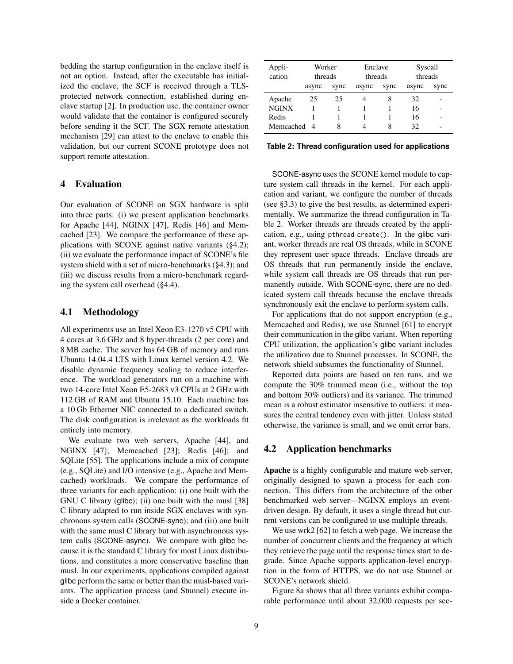bedding the startup configuration in the enclave itself is not an option. Instead, after the executable has initialized the enclave, the SCF is received through a TLSprotected network connection, established during enclave startup [\[2\]](#page-13-8). In production use, the container owner would validate that the container is configured securely before sending it the SCF. The SGX remote attestation mechanism [\[29\]](#page-14-23) can attest to the enclave to enable this validation, but our current SCONE prototype does not support remote attestation.

## 4 Evaluation

Our evaluation of SCONE on SGX hardware is split into three parts: (i) we present application benchmarks for Apache [\[44\]](#page-14-14), NGINX [\[47\]](#page-14-15), Redis [\[46\]](#page-14-16) and Memcached [\[23\]](#page-14-13). We compare the performance of these applications with SCONE against native variants ([§4.2\)](#page-8-0); (ii) we evaluate the performance impact of SCONE's file system shield with a set of micro-benchmarks ([§4.3\)](#page-11-0); and (iii) we discuss results from a micro-benchmark regarding the system call overhead ([§4.4\)](#page-12-0).

### 4.1 Methodology

All experiments use an Intel Xeon E3-1270 v5 CPU with 4 cores at 3.6 GHz and 8 hyper-threads (2 per core) and 8 MB cache. The server has 64 GB of memory and runs Ubuntu 14.04.4 LTS with Linux kernel version 4.2. We disable dynamic frequency scaling to reduce interference. The workload generators run on a machine with two 14-core Intel Xeon E5-2683 v3 CPUs at 2 GHz with 112 GB of RAM and Ubuntu 15.10. Each machine has a 10 Gb Ethernet NIC connected to a dedicated switch. The disk configuration is irrelevant as the workloads fit entirely into memory.

We evaluate two web servers, Apache [\[44\]](#page-14-14), and NGINX [\[47\]](#page-14-15); Memcached [\[23\]](#page-14-13); Redis [\[46\]](#page-14-16); and SQLite [\[55\]](#page-14-30). The applications include a mix of compute (e.g., SQLite) and I/O intensive (e.g., Apache and Memcached) workloads. We compare the performance of three variants for each application: (i) one built with the GNU C library (glibc); (ii) one built with the musl [\[38\]](#page-14-17) C library adapted to run inside SGX enclaves with synchronous system calls (SCONE-sync); and (iii) one built with the same musl C library but with asynchronous system calls (SCONE-async). We compare with glibc because it is the standard C library for most Linux distributions, and constitutes a more conservative baseline than musl. In our experiments, applications compiled against glibc perform the same or better than the musl-based variants. The application process (and Stunnel) execute inside a Docker container.

<span id="page-8-1"></span>

| Appli-<br>cation |       | Worker<br>threads |       | Enclave<br>threads |       | Syscall<br>threads |  |
|------------------|-------|-------------------|-------|--------------------|-------|--------------------|--|
|                  | async | sync              | async | sync               | async | sync               |  |
| Apache           | 25    | 25                |       | 8                  | 32    |                    |  |
| <b>NGINX</b>     |       |                   |       |                    | 16    |                    |  |
| Redis            |       |                   |       |                    | 16    |                    |  |
| Memcached 4      |       | 8                 |       | 8                  | 32    |                    |  |

**Table 2: Thread configuration used for applications**

SCONE-async uses the SCONE kernel module to capture system call threads in the kernel. For each application and variant, we configure the number of threads (see [§3.3\)](#page-6-1) to give the best results, as determined experimentally. We summarize the thread configuration in Table [2.](#page-8-1) Worker threads are threads created by the application, e.g., using pthread create(). In the glibc variant, worker threads are real OS threads, while in SCONE they represent user space threads. Enclave threads are OS threads that run permanently inside the enclave, while system call threads are OS threads that run permanently outside. With SCONE-sync, there are no dedicated system call threads because the enclave threads synchronously exit the enclave to perform system calls.

For applications that do not support encryption (e.g., Memcached and Redis), we use Stunnel [\[61\]](#page-14-31) to encrypt their communication in the glibc variant. When reporting CPU utilization, the application's glibc variant includes the utilization due to Stunnel processes. In SCONE, the network shield subsumes the functionality of Stunnel.

Reported data points are based on ten runs, and we compute the 30% trimmed mean (i.e., without the top and bottom 30% outliers) and its variance. The trimmed mean is a robust estimator insensitive to outliers: it measures the central tendency even with jitter. Unless stated otherwise, the variance is small, and we omit error bars.

#### <span id="page-8-0"></span>4.2 Application benchmarks

Apache is a highly configurable and mature web server, originally designed to spawn a process for each connection. This differs from the architecture of the other benchmarked web server—NGINX employs an eventdriven design. By default, it uses a single thread but current versions can be configured to use multiple threads.

We use wrk2 [\[62\]](#page-14-32) to fetch a web page. We increase the number of concurrent clients and the frequency at which they retrieve the page until the response times start to degrade. Since Apache supports application-level encryption in the form of HTTPS, we do not use Stunnel or SCONE's network shield.

Figure [8a](#page-9-0) shows that all three variants exhibit comparable performance until about 32,000 requests per sec-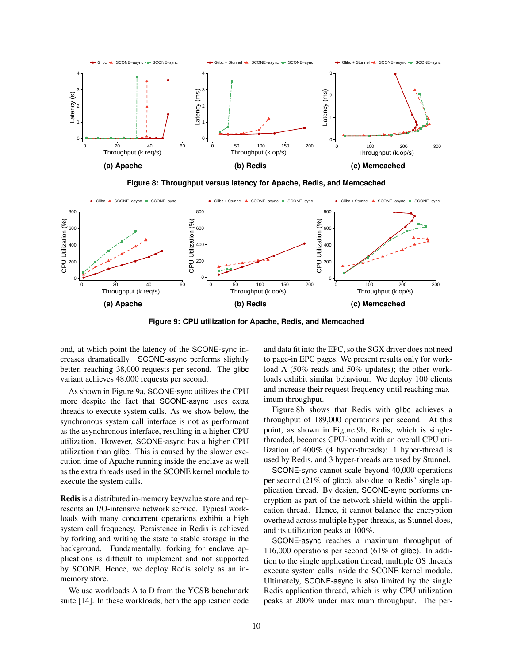<span id="page-9-0"></span>

**Figure 8: Throughput versus latency for Apache, Redis, and Memcached**

<span id="page-9-1"></span>

**Figure 9: CPU utilization for Apache, Redis, and Memcached**

ond, at which point the latency of the SCONE-sync increases dramatically. SCONE-async performs slightly better, reaching 38,000 requests per second. The glibc variant achieves 48,000 requests per second.

As shown in Figure [9a,](#page-9-1) SCONE-sync utilizes the CPU more despite the fact that SCONE-async uses extra threads to execute system calls. As we show below, the synchronous system call interface is not as performant as the asynchronous interface, resulting in a higher CPU utilization. However, SCONE-async has a higher CPU utilization than glibc. This is caused by the slower execution time of Apache running inside the enclave as well as the extra threads used in the SCONE kernel module to execute the system calls.

Redis is a distributed in-memory key/value store and represents an I/O-intensive network service. Typical workloads with many concurrent operations exhibit a high system call frequency. Persistence in Redis is achieved by forking and writing the state to stable storage in the background. Fundamentally, forking for enclave applications is difficult to implement and not supported by SCONE. Hence, we deploy Redis solely as an inmemory store.

We use workloads A to D from the YCSB benchmark suite [\[14\]](#page-13-9). In these workloads, both the application code and data fit into the EPC, so the SGX driver does not need to page-in EPC pages. We present results only for workload A (50% reads and 50% updates); the other workloads exhibit similar behaviour. We deploy 100 clients and increase their request frequency until reaching maximum throughput.

Figure [8b](#page-9-0) shows that Redis with glibc achieves a throughput of 189,000 operations per second. At this point, as shown in Figure [9b,](#page-9-1) Redis, which is singlethreaded, becomes CPU-bound with an overall CPU utilization of 400% (4 hyper-threads): 1 hyper-thread is used by Redis, and 3 hyper-threads are used by Stunnel.

SCONE-sync cannot scale beyond 40,000 operations per second (21% of glibc), also due to Redis' single application thread. By design, SCONE-sync performs encryption as part of the network shield within the application thread. Hence, it cannot balance the encryption overhead across multiple hyper-threads, as Stunnel does, and its utilization peaks at 100%.

SCONE-async reaches a maximum throughput of 116,000 operations per second (61% of glibc). In addition to the single application thread, multiple OS threads execute system calls inside the SCONE kernel module. Ultimately, SCONE-async is also limited by the single Redis application thread, which is why CPU utilization peaks at 200% under maximum throughput. The per-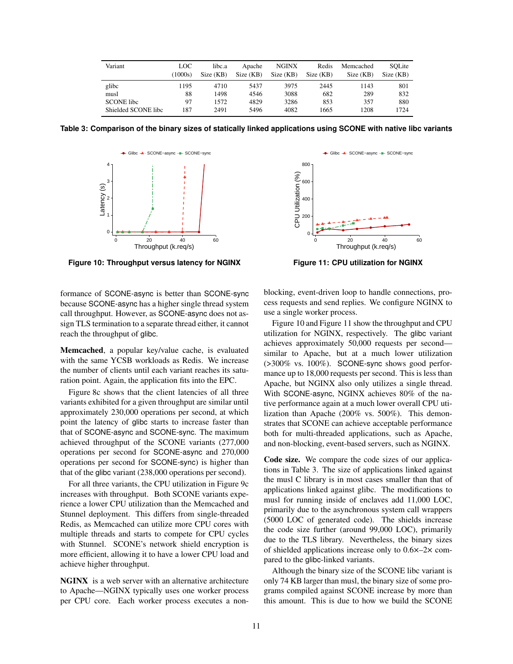<span id="page-10-2"></span>

| Variant             | LOC<br>(1000s) | libc.a<br>Size (KB) | Apache<br>Size(KB) | <b>NGINX</b><br>Size(KB) | Redis<br>Size(KB) | Memcached<br>Size (KB) | SOLite<br>Size (KB) |
|---------------------|----------------|---------------------|--------------------|--------------------------|-------------------|------------------------|---------------------|
| glibc               | 1195           | 4710                | 5437               | 3975                     | 2445              | 1143                   | 801                 |
| musl                | 88             | 1498                | 4546               | 3088                     | 682               | 289                    | 832                 |
| <b>SCONE</b> libe   | 97             | 1572                | 4829               | 3286                     | 853               | 357                    | 880                 |
| Shielded SCONE libc | 187            | 2491                | 5496               | 4082                     | 1665              | 1208                   | 1724                |

<span id="page-10-0"></span>**Table 3: Comparison of the binary sizes of statically linked applications using SCONE with native libc variants**



**Figure 10: Throughput versus latency for NGINX**

<span id="page-10-1"></span>

**Figure 11: CPU utilization for NGINX**

formance of SCONE-async is better than SCONE-sync because SCONE-async has a higher single thread system call throughput. However, as SCONE-async does not assign TLS termination to a separate thread either, it cannot reach the throughput of glibc.

Memcached, a popular key/value cache, is evaluated with the same YCSB workloads as Redis. We increase the number of clients until each variant reaches its saturation point. Again, the application fits into the EPC.

Figure [8c](#page-9-0) shows that the client latencies of all three variants exhibited for a given throughput are similar until approximately 230,000 operations per second, at which point the latency of glibc starts to increase faster than that of SCONE-async and SCONE-sync. The maximum achieved throughput of the SCONE variants (277,000 operations per second for SCONE-async and 270,000 operations per second for SCONE-sync) is higher than that of the glibc variant (238,000 operations per second).

For all three variants, the CPU utilization in Figure [9c](#page-9-1) increases with throughput. Both SCONE variants experience a lower CPU utilization than the Memcached and Stunnel deployment. This differs from single-threaded Redis, as Memcached can utilize more CPU cores with multiple threads and starts to compete for CPU cycles with Stunnel. SCONE's network shield encryption is more efficient, allowing it to have a lower CPU load and achieve higher throughput.

NGINX is a web server with an alternative architecture to Apache—NGINX typically uses one worker process per CPU core. Each worker process executes a nonblocking, event-driven loop to handle connections, process requests and send replies. We configure NGINX to use a single worker process.

Figure [10](#page-10-0) and Figure [11](#page-10-1) show the throughput and CPU utilization for NGINX, respectively. The glibc variant achieves approximately 50,000 requests per second similar to Apache, but at a much lower utilization (>300% vs. 100%). SCONE-sync shows good performance up to 18,000 requests per second. This is less than Apache, but NGINX also only utilizes a single thread. With SCONE-async, NGINX achieves 80% of the native performance again at a much lower overall CPU utilization than Apache (200% vs. 500%). This demonstrates that SCONE can achieve acceptable performance both for multi-threaded applications, such as Apache, and non-blocking, event-based servers, such as NGINX.

Code size. We compare the code sizes of our applications in Table [3.](#page-10-2) The size of applications linked against the musl C library is in most cases smaller than that of applications linked against glibc. The modifications to musl for running inside of enclaves add 11,000 LOC, primarily due to the asynchronous system call wrappers (5000 LOC of generated code). The shields increase the code size further (around 99,000 LOC), primarily due to the TLS library. Nevertheless, the binary sizes of shielded applications increase only to 0.6×–2× compared to the glibc-linked variants.

Although the binary size of the SCONE libc variant is only 74 KB larger than musl, the binary size of some programs compiled against SCONE increase by more than this amount. This is due to how we build the SCONE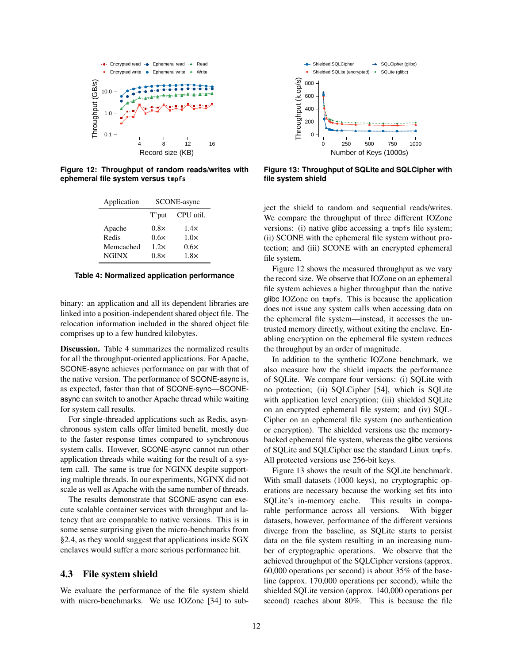<span id="page-11-2"></span>

<span id="page-11-1"></span>**Figure 12: Throughput of random reads/writes with ephemeral file system versus** tmpfs

| Application  | SCONE-async |             |  |  |
|--------------|-------------|-------------|--|--|
|              | T'put       | CPU util.   |  |  |
| Apache       | $0.8\times$ | 1.4x        |  |  |
| Redis        | 0.6x        | $1.0\times$ |  |  |
| Memcached    | 1.2x        | 0.6x        |  |  |
| <b>NGINX</b> | $0.8\times$ | $1.8\times$ |  |  |

**Table 4: Normalized application performance**

binary: an application and all its dependent libraries are linked into a position-independent shared object file. The relocation information included in the shared object file comprises up to a few hundred kilobytes.

Discussion. Table [4](#page-11-1) summarizes the normalized results for all the throughput-oriented applications. For Apache, SCONE-async achieves performance on par with that of the native version. The performance of SCONE-async is, as expected, faster than that of SCONE-sync—SCONEasync can switch to another Apache thread while waiting for system call results.

For single-threaded applications such as Redis, asynchronous system calls offer limited benefit, mostly due to the faster response times compared to synchronous system calls. However, SCONE-async cannot run other application threads while waiting for the result of a system call. The same is true for NGINX despite supporting multiple threads. In our experiments, NGINX did not scale as well as Apache with the same number of threads.

The results demonstrate that SCONE-async can execute scalable container services with throughput and latency that are comparable to native versions. This is in some sense surprising given the micro-benchmarks from [§2.4,](#page-2-2) as they would suggest that applications inside SGX enclaves would suffer a more serious performance hit.

#### <span id="page-11-0"></span>4.3 File system shield

We evaluate the performance of the file system shield with micro-benchmarks. We use IOZone [\[34\]](#page-14-33) to sub-

<span id="page-11-3"></span>

**Figure 13: Throughput of SQLite and SQLCipher with file system shield**

ject the shield to random and sequential reads/writes. We compare the throughput of three different IOZone versions: (i) native glibc accessing a tmpfs file system; (ii) SCONE with the ephemeral file system without protection; and (iii) SCONE with an encrypted ephemeral file system.

Figure [12](#page-11-2) shows the measured throughput as we vary the record size. We observe that IOZone on an ephemeral file system achieves a higher throughput than the native glibc IOZone on tmpfs. This is because the application does not issue any system calls when accessing data on the ephemeral file system—instead, it accesses the untrusted memory directly, without exiting the enclave. Enabling encryption on the ephemeral file system reduces the throughput by an order of magnitude.

In addition to the synthetic IOZone benchmark, we also measure how the shield impacts the performance of SQLite. We compare four versions: (i) SQLite with no protection; (ii) SQLCipher [\[54\]](#page-14-34), which is SQLite with application level encryption; (iii) shielded SQLite on an encrypted ephemeral file system; and (iv) SQL-Cipher on an ephemeral file system (no authentication or encryption). The shielded versions use the memorybacked ephemeral file system, whereas the glibc versions of SQLite and SQLCipher use the standard Linux tmpfs. All protected versions use 256-bit keys.

Figure [13](#page-11-3) shows the result of the SQLite benchmark. With small datasets (1000 keys), no cryptographic operations are necessary because the working set fits into SQLite's in-memory cache. This results in comparable performance across all versions. With bigger datasets, however, performance of the different versions diverge from the baseline, as SQLite starts to persist data on the file system resulting in an increasing number of cryptographic operations. We observe that the achieved throughput of the SQLCipher versions (approx. 60,000 operations per second) is about 35% of the baseline (approx. 170,000 operations per second), while the shielded SQLite version (approx. 140,000 operations per second) reaches about 80%. This is because the file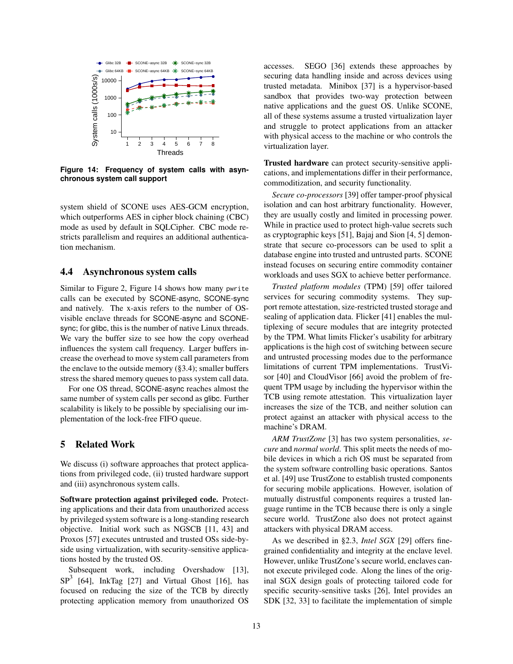<span id="page-12-1"></span>

**Figure 14: Frequency of system calls with asynchronous system call support**

system shield of SCONE uses AES-GCM encryption, which outperforms AES in cipher block chaining (CBC) mode as used by default in SQLCipher. CBC mode restricts parallelism and requires an additional authentication mechanism.

## <span id="page-12-0"></span>4.4 Asynchronous system calls

Similar to Figure [2,](#page-4-1) Figure [14](#page-12-1) shows how many pwrite calls can be executed by SCONE-async, SCONE-sync and natively. The x-axis refers to the number of OSvisible enclave threads for SCONE-async and SCONEsync; for glibc, this is the number of native Linux threads. We vary the buffer size to see how the copy overhead influences the system call frequency. Larger buffers increase the overhead to move system call parameters from the enclave to the outside memory  $(\S 3.4)$ ; smaller buffers stress the shared memory queues to pass system call data.

For one OS thread, SCONE-async reaches almost the same number of system calls per second as glibc. Further scalability is likely to be possible by specialising our implementation of the lock-free FIFO queue.

## 5 Related Work

We discuss (i) software approaches that protect applications from privileged code, (ii) trusted hardware support and (iii) asynchronous system calls.

Software protection against privileged code. Protecting applications and their data from unauthorized access by privileged system software is a long-standing research objective. Initial work such as NGSCB [\[11,](#page-13-10) [43\]](#page-14-35) and Proxos [\[57\]](#page-14-36) executes untrusted and trusted OSs side-byside using virtualization, with security-sensitive applications hosted by the trusted OS.

Subsequent work, including Overshadow [\[13\]](#page-13-11),  $SP<sup>3</sup>$  [\[64\]](#page-14-37), InkTag [\[27\]](#page-14-38) and Virtual Ghost [\[16\]](#page-13-12), has focused on reducing the size of the TCB by directly protecting application memory from unauthorized OS accesses. SEGO [\[36\]](#page-14-39) extends these approaches by securing data handling inside and across devices using trusted metadata. Minibox [\[37\]](#page-14-40) is a hypervisor-based sandbox that provides two-way protection between native applications and the guest OS. Unlike SCONE, all of these systems assume a trusted virtualization layer and struggle to protect applications from an attacker with physical access to the machine or who controls the virtualization layer.

Trusted hardware can protect security-sensitive applications, and implementations differ in their performance, commoditization, and security functionality.

*Secure co-processors* [\[39\]](#page-14-41) offer tamper-proof physical isolation and can host arbitrary functionality. However, they are usually costly and limited in processing power. While in practice used to protect high-value secrets such as cryptographic keys [\[51\]](#page-14-42), Bajaj and Sion [\[4,](#page-13-13) [5\]](#page-13-14) demonstrate that secure co-processors can be used to split a database engine into trusted and untrusted parts. SCONE instead focuses on securing entire commodity container workloads and uses SGX to achieve better performance.

*Trusted platform modules* (TPM) [\[59\]](#page-14-43) offer tailored services for securing commodity systems. They support remote attestation, size-restricted trusted storage and sealing of application data. Flicker [\[41\]](#page-14-44) enables the multiplexing of secure modules that are integrity protected by the TPM. What limits Flicker's usability for arbitrary applications is the high cost of switching between secure and untrusted processing modes due to the performance limitations of current TPM implementations. TrustVisor [\[40\]](#page-14-45) and CloudVisor [\[66\]](#page-14-46) avoid the problem of frequent TPM usage by including the hypervisor within the TCB using remote attestation. This virtualization layer increases the size of the TCB, and neither solution can protect against an attacker with physical access to the machine's DRAM.

*ARM TrustZone* [\[3\]](#page-13-15) has two system personalities, *secure* and *normal world*. This split meets the needs of mobile devices in which a rich OS must be separated from the system software controlling basic operations. Santos et al. [\[49\]](#page-14-47) use TrustZone to establish trusted components for securing mobile applications. However, isolation of mutually distrustful components requires a trusted language runtime in the TCB because there is only a single secure world. TrustZone also does not protect against attackers with physical DRAM access.

As we described in [§2.3,](#page-2-0) *Intel SGX* [\[29\]](#page-14-23) offers finegrained confidentiality and integrity at the enclave level. However, unlike TrustZone's secure world, enclaves cannot execute privileged code. Along the lines of the original SGX design goals of protecting tailored code for specific security-sensitive tasks [\[26\]](#page-14-12), Intel provides an SDK [\[32,](#page-14-26) [33\]](#page-14-48) to facilitate the implementation of simple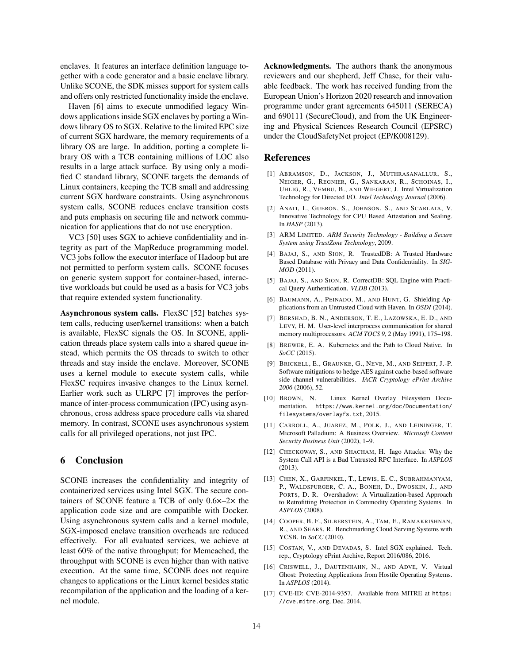enclaves. It features an interface definition language together with a code generator and a basic enclave library. Unlike SCONE, the SDK misses support for system calls and offers only restricted functionality inside the enclave.

Haven [\[6\]](#page-13-3) aims to execute unmodified legacy Windows applications inside SGX enclaves by porting a Windows library OS to SGX. Relative to the limited EPC size of current SGX hardware, the memory requirements of a library OS are large. In addition, porting a complete library OS with a TCB containing millions of LOC also results in a large attack surface. By using only a modified C standard library, SCONE targets the demands of Linux containers, keeping the TCB small and addressing current SGX hardware constraints. Using asynchronous system calls, SCONE reduces enclave transition costs and puts emphasis on securing file and network communication for applications that do not use encryption.

VC3 [\[50\]](#page-14-21) uses SGX to achieve confidentiality and integrity as part of the MapReduce programming model. VC3 jobs follow the executor interface of Hadoop but are not permitted to perform system calls. SCONE focuses on generic system support for container-based, interactive workloads but could be used as a basis for VC3 jobs that require extended system functionality.

Asynchronous system calls. FlexSC [\[52\]](#page-14-27) batches system calls, reducing user/kernel transitions: when a batch is available, FlexSC signals the OS. In SCONE, application threads place system calls into a shared queue instead, which permits the OS threads to switch to other threads and stay inside the enclave. Moreover, SCONE uses a kernel module to execute system calls, while FlexSC requires invasive changes to the Linux kernel. Earlier work such as ULRPC [\[7\]](#page-13-16) improves the performance of inter-process communication (IPC) using asynchronous, cross address space procedure calls via shared memory. In contrast, SCONE uses asynchronous system calls for all privileged operations, not just IPC.

## 6 Conclusion

SCONE increases the confidentiality and integrity of containerized services using Intel SGX. The secure containers of SCONE feature a TCB of only 0.6×–2× the application code size and are compatible with Docker. Using asynchronous system calls and a kernel module, SGX-imposed enclave transition overheads are reduced effectively. For all evaluated services, we achieve at least 60% of the native throughput; for Memcached, the throughput with SCONE is even higher than with native execution. At the same time, SCONE does not require changes to applications or the Linux kernel besides static recompilation of the application and the loading of a kernel module.

Acknowledgments. The authors thank the anonymous reviewers and our shepherd, Jeff Chase, for their valuable feedback. The work has received funding from the European Union's Horizon 2020 research and innovation programme under grant agreements 645011 (SERECA) and 690111 (SecureCloud), and from the UK Engineering and Physical Sciences Research Council (EPSRC) under the CloudSafetyNet project (EP/K008129).

#### References

- <span id="page-13-0"></span>[1] ABRAMSON, D., JACKSON, J., MUTHRASANALLUR, S., NEIGER, G., REGNIER, G., SANKARAN, R., SCHOINAS, I., UHLIG, R., VEMBU, B., AND WIEGERT, J. Intel Virtualization Technology for Directed I/O. *Intel Technology Journal* (2006).
- <span id="page-13-8"></span>[2] ANATI, I., GUERON, S., JOHNSON, S., AND SCARLATA, V. Innovative Technology for CPU Based Attestation and Sealing. In *HASP* (2013).
- <span id="page-13-15"></span>[3] ARM LIMITED. *ARM Security Technology - Building a Secure System using TrustZone Technology*, 2009.
- <span id="page-13-13"></span>[4] BAJAJ, S., AND SION, R. TrustedDB: A Trusted Hardware Based Database with Privacy and Data Confidentiality. In *SIG-MOD* (2011).
- <span id="page-13-14"></span>[5] BAJAJ, S., AND SION, R. CorrectDB: SQL Engine with Practical Query Authentication. *VLDB* (2013).
- <span id="page-13-3"></span>[6] BAUMANN, A., PEINADO, M., AND HUNT, G. Shielding Applications from an Untrusted Cloud with Haven. In *OSDI* (2014).
- <span id="page-13-16"></span>[7] BERSHAD, B. N., ANDERSON, T. E., LAZOWSKA, E. D., AND LEVY, H. M. User-level interprocess communication for shared memory multiprocessors. *ACM TOCS 9*, 2 (May 1991), 175–198.
- <span id="page-13-1"></span>[8] BREWER, E. A. Kubernetes and the Path to Cloud Native. In *SoCC* (2015).
- <span id="page-13-5"></span>[9] BRICKELL, E., GRAUNKE, G., NEVE, M., AND SEIFERT, J.-P. Software mitigations to hedge AES against cache-based software side channel vulnerabilities. *IACR Cryptology ePrint Archive 2006* (2006), 52.
- <span id="page-13-4"></span>[10] BROWN, N. Linux Kernel Overlay Filesystem Documentation. [https://www.kernel.org/doc/Documentation/](https://www.kernel.org/doc/Documentation/filesystems/overlayfs.txt) [filesystems/overlayfs.txt](https://www.kernel.org/doc/Documentation/filesystems/overlayfs.txt), 2015.
- <span id="page-13-10"></span>[11] CARROLL, A., JUAREZ, M., POLK, J., AND LEININGER, T. Microsoft Palladium: A Business Overview. *Microsoft Content Security Business Unit* (2002), 1–9.
- <span id="page-13-7"></span>[12] CHECKOWAY, S., AND SHACHAM, H. Iago Attacks: Why the System Call API is a Bad Untrusted RPC Interface. In *ASPLOS* (2013).
- <span id="page-13-11"></span>[13] CHEN, X., GARFINKEL, T., LEWIS, E. C., SUBRAHMANYAM, P., WALDSPURGER, C. A., BONEH, D., DWOSKIN, J., AND PORTS, D. R. Overshadow: A Virtualization-based Approach to Retrofitting Protection in Commodity Operating Systems. In *ASPLOS* (2008).
- <span id="page-13-9"></span>[14] COOPER, B. F., SILBERSTEIN, A., TAM, E., RAMAKRISHNAN, R., AND SEARS, R. Benchmarking Cloud Serving Systems with YCSB. In *SoCC* (2010).
- <span id="page-13-6"></span>[15] COSTAN, V., AND DEVADAS, S. Intel SGX explained. Tech. rep., Cryptology ePrint Archive, Report 2016/086, 2016.
- <span id="page-13-12"></span>[16] CRISWELL, J., DAUTENHAHN, N., AND ADVE, V. Virtual Ghost: Protecting Applications from Hostile Operating Systems. In *ASPLOS* (2014).
- <span id="page-13-2"></span>[17] CVE-ID: CVE-2014-9357. Available from MITRE at [https:](https://cve.mitre.org) [//cve.mitre.org](https://cve.mitre.org), Dec. 2014.